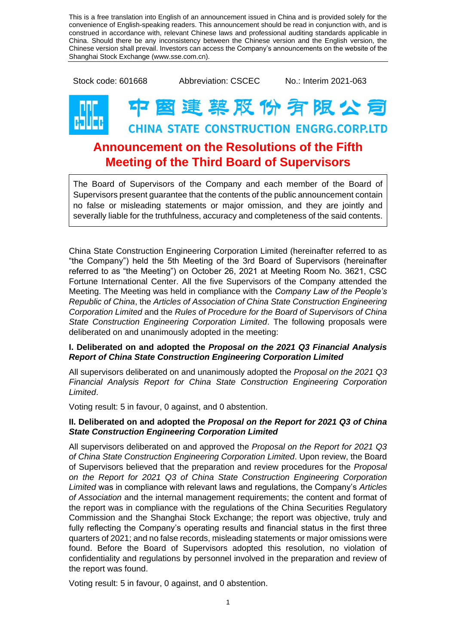This is a free translation into English of an announcement issued in China and is provided solely for the convenience of English-speaking readers. This announcement should be read in conjunction with, and is construed in accordance with, relevant Chinese laws and professional auditing standards applicable in China. Should there be any inconsistency between the Chinese version and the English version, the Chinese version shall prevail. Investors can access the Company's announcements on the website of the Shanghai Stock Exchange (www.sse.com.cn).

Stock code: 601668 Abbreviation: CSCEC No.: Interim 2021-063



## **國達 薬 股 份 宥 限 公 司 CHINA STATE CONSTRUCTION ENGRG.CORP.LTD**

## **Announcement on the Resolutions of the Fifth Meeting of the Third Board of Supervisors**

The Board of Supervisors of the Company and each member of the Board of Supervisors present guarantee that the contents of the public announcement contain no false or misleading statements or major omission, and they are jointly and severally liable for the truthfulness, accuracy and completeness of the said contents.

China State Construction Engineering Corporation Limited (hereinafter referred to as "the Company") held the 5th Meeting of the 3rd Board of Supervisors (hereinafter referred to as "the Meeting") on October 26, 2021 at Meeting Room No. 3621, CSC Fortune International Center. All the five Supervisors of the Company attended the Meeting. The Meeting was held in compliance with the *Company Law of the People's Republic of China*, the *Articles of Association of China State Construction Engineering Corporation Limited* and the *Rules of Procedure for the Board of Supervisors of China State Construction Engineering Corporation Limited*. The following proposals were deliberated on and unanimously adopted in the meeting:

## **I. Deliberated on and adopted the** *Proposal on the 2021 Q3 Financial Analysis Report of China State Construction Engineering Corporation Limited*

All supervisors deliberated on and unanimously adopted the *Proposal on the 2021 Q3 Financial Analysis Report for China State Construction Engineering Corporation Limited*.

Voting result: 5 in favour, 0 against, and 0 abstention.

## **II. Deliberated on and adopted the** *Proposal on the Report for 2021 Q3 of China State Construction Engineering Corporation Limited*

All supervisors deliberated on and approved the *Proposal on the Report for 2021 Q3 of China State Construction Engineering Corporation Limited*. Upon review, the Board of Supervisors believed that the preparation and review procedures for the *Proposal on the Report for 2021 Q3 of China State Construction Engineering Corporation Limited* was in compliance with relevant laws and regulations, the Company's *Articles of Association* and the internal management requirements; the content and format of the report was in compliance with the regulations of the China Securities Regulatory Commission and the Shanghai Stock Exchange; the report was objective, truly and fully reflecting the Company's operating results and financial status in the first three quarters of 2021; and no false records, misleading statements or major omissions were found. Before the Board of Supervisors adopted this resolution, no violation of confidentiality and regulations by personnel involved in the preparation and review of the report was found.

Voting result: 5 in favour, 0 against, and 0 abstention.